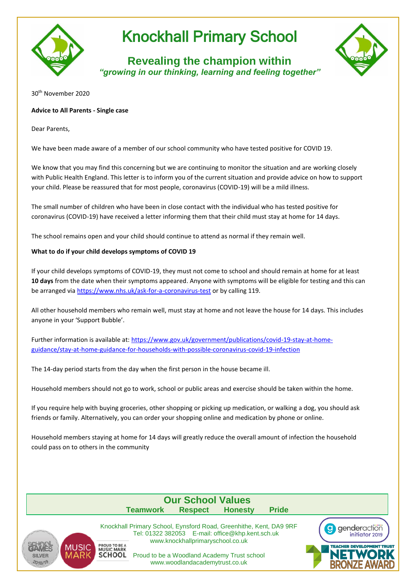

## Knockhall Primary School

**Revealing the champion within** *"growing in our thinking, learning and feeling together"*



30th November 2020

## **Advice to All Parents - Single case**

Dear Parents,

We have been made aware of a member of our school community who have tested positive for COVID 19.

We know that you may find this concerning but we are continuing to monitor the situation and are working closely with Public Health England. This letter is to inform you of the current situation and provide advice on how to support your child. Please be reassured that for most people, coronavirus (COVID-19) will be a mild illness.

The small number of children who have been in close contact with the individual who has tested positive for coronavirus (COVID-19) have received a letter informing them that their child must stay at home for 14 days.

The school remains open and your child should continue to attend as normal if they remain well.

## **What to do if your child develops symptoms of COVID 19**

If your child develops symptoms of COVID-19, they must not come to school and should remain at home for at least **10 days** from the date when their symptoms appeared. Anyone with symptoms will be eligible for testing and this can be arranged via<https://www.nhs.uk/ask-for-a-coronavirus-test> or by calling 119.

All other household members who remain well, must stay at home and not leave the house for 14 days. This includes anyone in your 'Support Bubble'.

Further information is available at: [https://www.gov.uk/government/publications/covid-19-stay-at-home](https://www.gov.uk/government/publications/covid-19-stay-at-home-guidance/stay-at-home-guidance-for-households-with-possible-coronavirus-covid-19-infection)[guidance/stay-at-home-guidance-for-households-with-possible-coronavirus-covid-19-infection](https://www.gov.uk/government/publications/covid-19-stay-at-home-guidance/stay-at-home-guidance-for-households-with-possible-coronavirus-covid-19-infection)

The 14-day period starts from the day when the first person in the house became ill.

Household members should not go to work, school or public areas and exercise should be taken within the home.

If you require help with buying groceries, other shopping or picking up medication, or walking a dog, you should ask friends or family. Alternatively, you can order your shopping online and medication by phone or online.

Household members staying at home for 14 days will greatly reduce the overall amount of infection the household could pass on to others in the community

|                                             | <b>Our School Values</b>                                                                                                         |                                                                                                                                                                       |                |              |  |  |
|---------------------------------------------|----------------------------------------------------------------------------------------------------------------------------------|-----------------------------------------------------------------------------------------------------------------------------------------------------------------------|----------------|--------------|--|--|
|                                             | <b>Teamwork</b>                                                                                                                  | <b>Respect</b>                                                                                                                                                        | <b>Honesty</b> | <b>Pride</b> |  |  |
| <b>MUSIC</b><br><b>SILVER</b><br>$-2018/19$ | Knockhall Primary School, Eynsford Road, Greenhithe, Kent, DA9 9RF<br><b>PROUD TO BE A</b><br><b>MUSIC MARK</b><br><b>SCHOOL</b> | Tel: 01322 382053 E-mail: office@khp.kent.sch.uk<br>www.knockhallprimaryschool.co.uk<br>Proud to be a Woodland Academy Trust school<br>www.woodlandacademytrust.co.uk |                |              |  |  |